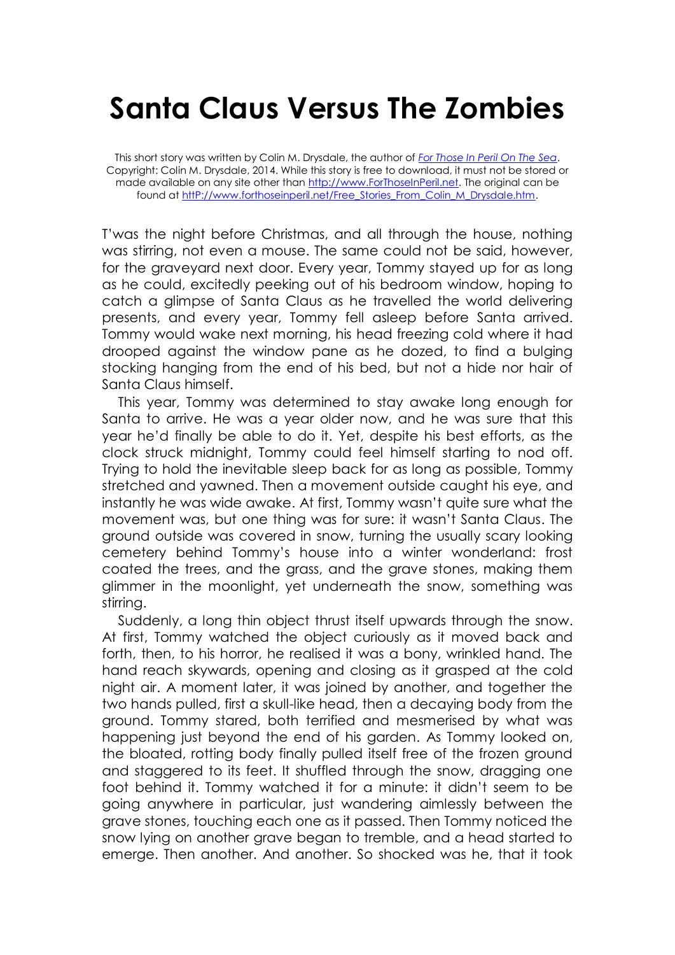## **Santa Claus Versus The Zombies**

This short story was written by Colin M. Drysdale, the author of *[For Those In Peril On The Sea](http://www.forthoseinperil.net/)*. Copyright: Colin M. Drysdale, 2014. While this story is free to download, it must not be stored or made available on any site other than [http://www.ForThoseInPeril.net.](http://www.forthoseinperil.net/) The original can be found at http://www.forthoseinperil.net/Free\_Stories\_From\_Colin\_M\_Drysdale.htm.

T'was the night before Christmas, and all through the house, nothing was stirring, not even a mouse. The same could not be said, however, for the graveyard next door. Every year, Tommy stayed up for as long as he could, excitedly peeking out of his bedroom window, hoping to catch a glimpse of Santa Claus as he travelled the world delivering presents, and every year, Tommy fell asleep before Santa arrived. Tommy would wake next morning, his head freezing cold where it had drooped against the window pane as he dozed, to find a bulging stocking hanging from the end of his bed, but not a hide nor hair of Santa Claus himself.

This year, Tommy was determined to stay awake long enough for Santa to arrive. He was a year older now, and he was sure that this year he'd finally be able to do it. Yet, despite his best efforts, as the clock struck midnight, Tommy could feel himself starting to nod off. Trying to hold the inevitable sleep back for as long as possible, Tommy stretched and yawned. Then a movement outside caught his eye, and instantly he was wide awake. At first, Tommy wasn't quite sure what the movement was, but one thing was for sure: it wasn't Santa Claus. The ground outside was covered in snow, turning the usually scary looking cemetery behind Tommy's house into a winter wonderland: frost coated the trees, and the grass, and the grave stones, making them glimmer in the moonlight, yet underneath the snow, something was stirring.

Suddenly, a long thin object thrust itself upwards through the snow. At first, Tommy watched the object curiously as it moved back and forth, then, to his horror, he realised it was a bony, wrinkled hand. The hand reach skywards, opening and closing as it grasped at the cold night air. A moment later, it was joined by another, and together the two hands pulled, first a skull-like head, then a decaying body from the ground. Tommy stared, both terrified and mesmerised by what was happening just beyond the end of his garden. As Tommy looked on, the bloated, rotting body finally pulled itself free of the frozen ground and staggered to its feet. It shuffled through the snow, dragging one foot behind it. Tommy watched it for a minute: it didn't seem to be going anywhere in particular, just wandering aimlessly between the grave stones, touching each one as it passed. Then Tommy noticed the snow lying on another grave began to tremble, and a head started to emerge. Then another. And another. So shocked was he, that it took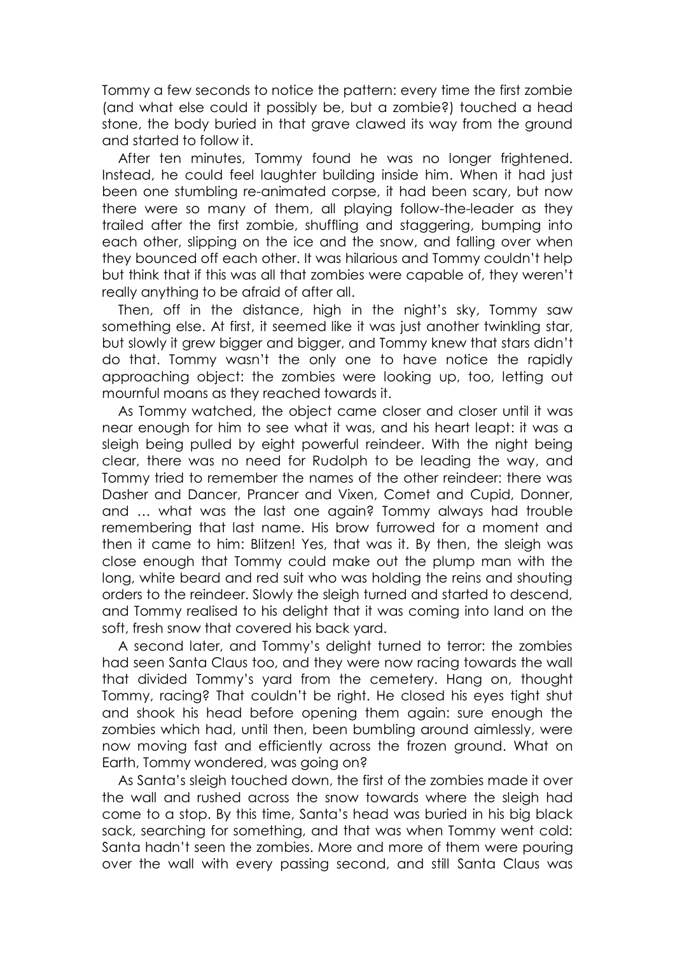Tommy a few seconds to notice the pattern: every time the first zombie (and what else could it possibly be, but a zombie?) touched a head stone, the body buried in that grave clawed its way from the ground and started to follow it.

After ten minutes, Tommy found he was no longer frightened. Instead, he could feel laughter building inside him. When it had just been one stumbling re-animated corpse, it had been scary, but now there were so many of them, all playing follow-the-leader as they trailed after the first zombie, shuffling and staggering, bumping into each other, slipping on the ice and the snow, and falling over when they bounced off each other. It was hilarious and Tommy couldn't help but think that if this was all that zombies were capable of, they weren't really anything to be afraid of after all.

Then, off in the distance, high in the night's sky, Tommy saw something else. At first, it seemed like it was just another twinkling star, but slowly it grew bigger and bigger, and Tommy knew that stars didn't do that. Tommy wasn't the only one to have notice the rapidly approaching object: the zombies were looking up, too, letting out mournful moans as they reached towards it.

As Tommy watched, the object came closer and closer until it was near enough for him to see what it was, and his heart leapt: it was a sleigh being pulled by eight powerful reindeer. With the night being clear, there was no need for Rudolph to be leading the way, and Tommy tried to remember the names of the other reindeer: there was Dasher and Dancer, Prancer and Vixen, Comet and Cupid, Donner, and … what was the last one again? Tommy always had trouble remembering that last name. His brow furrowed for a moment and then it came to him: Blitzen! Yes, that was it. By then, the sleigh was close enough that Tommy could make out the plump man with the long, white beard and red suit who was holding the reins and shouting orders to the reindeer. Slowly the sleigh turned and started to descend, and Tommy realised to his delight that it was coming into land on the soft, fresh snow that covered his back yard.

A second later, and Tommy's delight turned to terror: the zombies had seen Santa Claus too, and they were now racing towards the wall that divided Tommy's yard from the cemetery. Hang on, thought Tommy, racing? That couldn't be right. He closed his eyes tight shut and shook his head before opening them again: sure enough the zombies which had, until then, been bumbling around aimlessly, were now moving fast and efficiently across the frozen ground. What on Earth, Tommy wondered, was going on?

As Santa's sleigh touched down, the first of the zombies made it over the wall and rushed across the snow towards where the sleigh had come to a stop. By this time, Santa's head was buried in his big black sack, searching for something, and that was when Tommy went cold: Santa hadn't seen the zombies. More and more of them were pouring over the wall with every passing second, and still Santa Claus was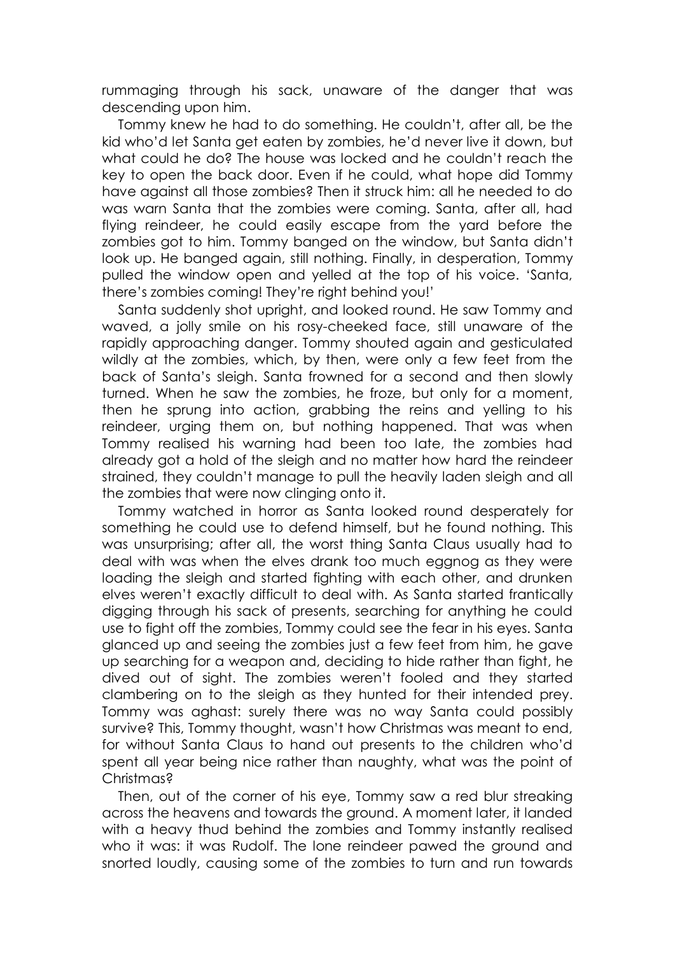rummaging through his sack, unaware of the danger that was descending upon him.

Tommy knew he had to do something. He couldn't, after all, be the kid who'd let Santa get eaten by zombies, he'd never live it down, but what could he do? The house was locked and he couldn't reach the key to open the back door. Even if he could, what hope did Tommy have against all those zombies? Then it struck him: all he needed to do was warn Santa that the zombies were coming. Santa, after all, had flying reindeer, he could easily escape from the yard before the zombies got to him. Tommy banged on the window, but Santa didn't look up. He banged again, still nothing. Finally, in desperation, Tommy pulled the window open and yelled at the top of his voice. 'Santa, there's zombies coming! They're right behind you!'

Santa suddenly shot upright, and looked round. He saw Tommy and waved, a jolly smile on his rosy-cheeked face, still unaware of the rapidly approaching danger. Tommy shouted again and gesticulated wildly at the zombies, which, by then, were only a few feet from the back of Santa's sleigh. Santa frowned for a second and then slowly turned. When he saw the zombies, he froze, but only for a moment, then he sprung into action, grabbing the reins and yelling to his reindeer, urging them on, but nothing happened. That was when Tommy realised his warning had been too late, the zombies had already got a hold of the sleigh and no matter how hard the reindeer strained, they couldn't manage to pull the heavily laden sleigh and all the zombies that were now clinging onto it.

Tommy watched in horror as Santa looked round desperately for something he could use to defend himself, but he found nothing. This was unsurprising; after all, the worst thing Santa Claus usually had to deal with was when the elves drank too much eggnog as they were loading the sleigh and started fighting with each other, and drunken elves weren't exactly difficult to deal with. As Santa started frantically digging through his sack of presents, searching for anything he could use to fight off the zombies, Tommy could see the fear in his eyes. Santa glanced up and seeing the zombies just a few feet from him, he gave up searching for a weapon and, deciding to hide rather than fight, he dived out of sight. The zombies weren't fooled and they started clambering on to the sleigh as they hunted for their intended prey. Tommy was aghast: surely there was no way Santa could possibly survive? This, Tommy thought, wasn't how Christmas was meant to end, for without Santa Claus to hand out presents to the children who'd spent all year being nice rather than naughty, what was the point of Christmas?

Then, out of the corner of his eye, Tommy saw a red blur streaking across the heavens and towards the ground. A moment later, it landed with a heavy thud behind the zombies and Tommy instantly realised who it was: it was Rudolf. The lone reindeer pawed the ground and snorted loudly, causing some of the zombies to turn and run towards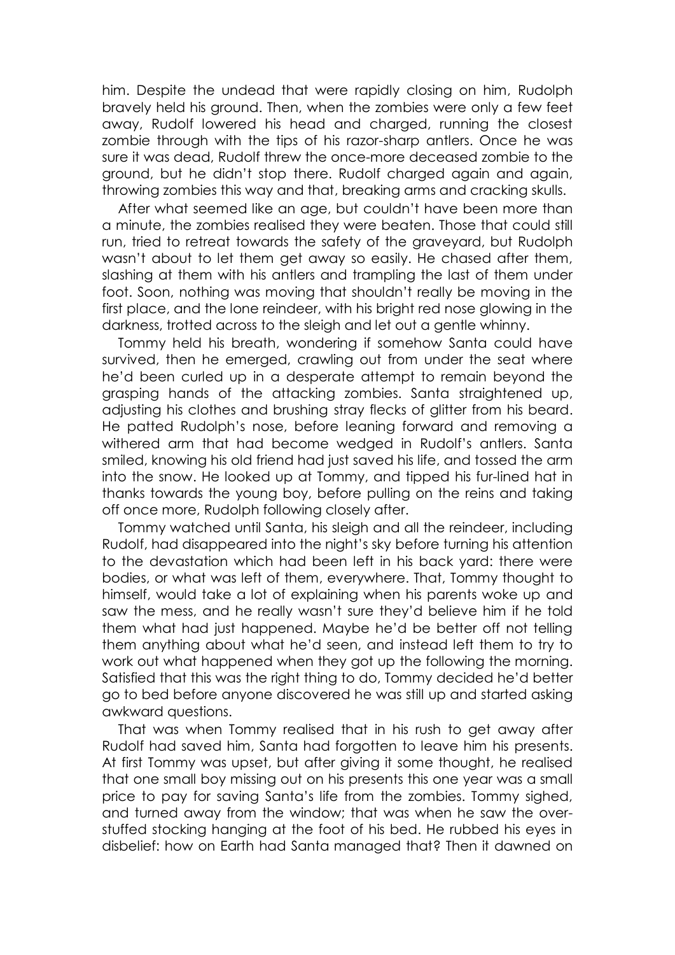him. Despite the undead that were rapidly closing on him, Rudolph bravely held his ground. Then, when the zombies were only a few feet away, Rudolf lowered his head and charged, running the closest zombie through with the tips of his razor-sharp antlers. Once he was sure it was dead, Rudolf threw the once-more deceased zombie to the ground, but he didn't stop there. Rudolf charged again and again, throwing zombies this way and that, breaking arms and cracking skulls.

After what seemed like an age, but couldn't have been more than a minute, the zombies realised they were beaten. Those that could still run, tried to retreat towards the safety of the graveyard, but Rudolph wasn't about to let them get away so easily. He chased after them, slashing at them with his antlers and trampling the last of them under foot. Soon, nothing was moving that shouldn't really be moving in the first place, and the lone reindeer, with his bright red nose glowing in the darkness, trotted across to the sleigh and let out a gentle whinny.

Tommy held his breath, wondering if somehow Santa could have survived, then he emerged, crawling out from under the seat where he'd been curled up in a desperate attempt to remain beyond the grasping hands of the attacking zombies. Santa straightened up, adjusting his clothes and brushing stray flecks of glitter from his beard. He patted Rudolph's nose, before leaning forward and removing a withered arm that had become wedged in Rudolf's antlers. Santa smiled, knowing his old friend had just saved his life, and tossed the arm into the snow. He looked up at Tommy, and tipped his fur-lined hat in thanks towards the young boy, before pulling on the reins and taking off once more, Rudolph following closely after.

Tommy watched until Santa, his sleigh and all the reindeer, including Rudolf, had disappeared into the night's sky before turning his attention to the devastation which had been left in his back yard: there were bodies, or what was left of them, everywhere. That, Tommy thought to himself, would take a lot of explaining when his parents woke up and saw the mess, and he really wasn't sure they'd believe him if he told them what had just happened. Maybe he'd be better off not telling them anything about what he'd seen, and instead left them to try to work out what happened when they got up the following the morning. Satisfied that this was the right thing to do, Tommy decided he'd better go to bed before anyone discovered he was still up and started asking awkward questions.

That was when Tommy realised that in his rush to get away after Rudolf had saved him, Santa had forgotten to leave him his presents. At first Tommy was upset, but after giving it some thought, he realised that one small boy missing out on his presents this one year was a small price to pay for saving Santa's life from the zombies. Tommy sighed, and turned away from the window; that was when he saw the overstuffed stocking hanging at the foot of his bed. He rubbed his eyes in disbelief: how on Earth had Santa managed that? Then it dawned on